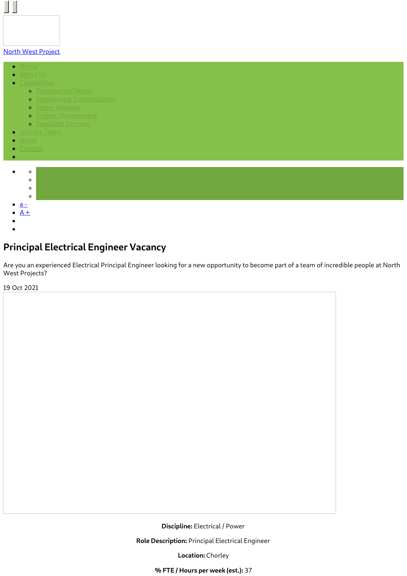#### North West [Project](https://www.northwestprojects.co.uk/)

 $\bullet$ 

 $\Box$ 

- 
- $\bullet$ 
	- **o** [Engineering](https://www.northwestprojects.co.uk/capabilities/engineering-design/) Design
		- **•** Engineering [Substantiation](https://www.northwestprojects.co.uk/capabilities/engineering-substantiation/)
		- o <u>Stress [Analysis](https://www.northwestprojects.co.uk/capabilities/stress-analysis/)</u>
		- **•** Project [Management](https://www.northwestprojects.co.uk/capabilities/project-management/)
		- **o** [Specialist](https://www.northwestprojects.co.uk/capabilities/specialist-services/) Services
	-
- $\bullet$
- 

 $\bullet$ 



# **Principal Electrical Engineer Vacancy**

Are you an experienced Electrical Principal Engineer looking for a new opportunity to become part of a team of incredible people at North West Projects?

19 Oct 2021

**Discipline:** Electrical / Power

**Role Description:** Principal Electrical Engineer

**Location:** Chorley

**% FTE / Hours per week (est.):** 37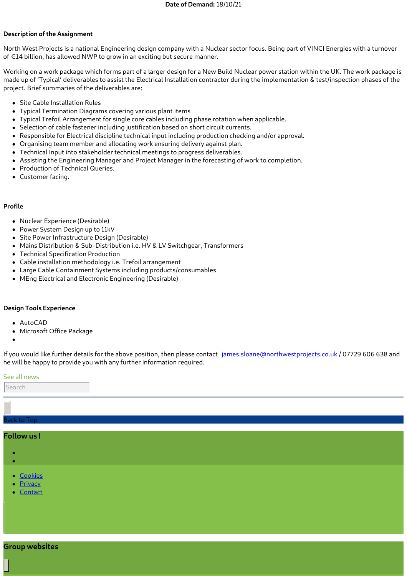# **Description of the Assignment**

North West Projects is a national Engineering design company with a Nuclear sector focus. Being part of VINCI Energies with a turnover of €14 billion, has allowed NWP to grow in an exciting but secure manner.

Working on a work package which forms part of a larger design for a New Build Nuclear power station within the UK. The work package is made up of 'Typical' deliverables to assist the Electrical Installation contractor during the implementation & test/inspection phases of the project. Brief summaries of the deliverables are:

- Site Cable Installation Rules
- Typical Termination Diagrams covering various plant items
- Typical Trefoil Arrangement for single core cables including phase rotation when applicable.
- Selection of cable fastener including justification based on short circuit currents.
- Responsible for Electrical discipline technical input including production checking and/or approval.
- Organising team member and allocating work ensuring delivery against plan.
- Technical Input into stakeholder technical meetings to progress deliverables.
- Assisting the Engineering Manager and Project Manager in the forecasting of work to completion.
- Production of Technical Queries.
- Customer facing.

#### **Profile**

- Nuclear Experience (Desirable)
- Power System Design up to 11kV
- Site Power Infrastructure Design (Desirable)
- Mains Distribution & Sub-Distribution i.e. HV & LV Switchgear, Transformers
- Technical Specification Production
- Cable installation methodology i.e. Trefoil arrangement
- Large Cable Containment Systems including products/consumables
- MEng Electrical and Electronic Engineering (Desirable)

## **Design Tools Experience**

- AutoCAD
- Microsoft Office Package
- 

If you would like further details for the above position, then please contact [james.sloane@northwestprojects.co.uk](mailto:james.sloane@northwestprojects.co.uk) / 07729 606 638 and he will be happy to provide you with any further information required.

#### See all [news](https://www.northwestprojects.co.uk/news/)

|--|

## ack to Top

# **Follow us !**

- 
- 
- **[Cookies](https://www.northwestprojects.co.uk/cookies/)**
- **[Privacy](https://www.northwestprojects.co.uk/privacy/)**
- [Contact](https://www.northwestprojects.co.uk/contact/)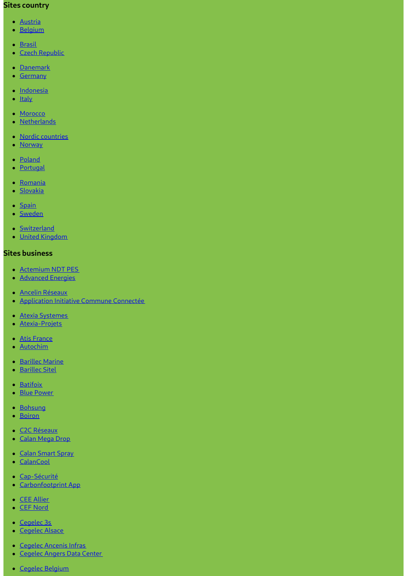# **Sites country**

- [Austria](http://www.vinci-energies.at/)
- · [Belgium](http://www.vinci-energies.be/)
- [Brasil](http://www.vinci-energies.com.br/en/home/)
- Czech [Republic](http://www.vinci-energies.cz/)
- [Danemark](http://www.vinci-energies.dk/)
- [Germany](http://www.vinci-energies.de/)
- · [Indonesia](http://www.vinci-energies.co.id/)
- $\bullet$  [Italy](http://www.vinci-energies.it/)
- [Morocco](http://www.vinci-energies.ma/)
- [Netherlands](http://www.vinci-energies.nl/)
- Nordic [countries](http://www.vinci-energies.dk/)
- [Norway](http://www.vinci-energies.no/)
- [Poland](http://www.vinci-energies.pl)
- [Portugal](http://www.vinci-energies.pt/)
- [Romania](http://www.vinci-energies.ro/)
- · [Slovakia](http://www.vinci-energies.sk/)
- [Spain](http://www.vinci-energies.es/)
- [Sweden](http://www.vinci-energies.se/)
- [Switzerland](http://www.vinci-energies.ch/)
- United [Kingdom](http://www.vinci-energies.co.uk/)

# **Sites business**

- [Actemium](https://www.cegelec-ndt-pes.com) NDT PES
- **[Advanced](http://www.advanced-energies.com/) Energies**
- Ancelin [Réseaux](http://www.ancelinreseaux.fr/)
- [Application](https://www.applications-icc.fr) Initiative Commune Connectée
- Atexia [Systemes](https://www.atexia-systemes.fr/)
- [Atexia-Projets](https://www.atexia-projets.fr/)
- Atis [France](https://www.atis-france.fr)
- [Autochim](http://www.autochim.com/fr/)
- [Barillec](http://www.barillec-marine.com/) Marine
- [Barillec](http://www.barillec-sitel.fr) Sitel
- [Batifoix](https://www.batifoix.fr)
- Blue [Power](https://www.blue-power.it/)
- [Bohsung](https://www.bohsung.de/)
- [Boiron](https://www.sas-boiron.com)
- C<sub>2</sub>C [Réseaux](https://www.c2c-reseaux.fr)
- [Calan](https://www.calanmegadrop.de/) Mega Drop
- Calan [Smart](https://www.calansmartspray.de/) Spray
- [CalanCool](https://www.calancool.de/)
- [Cap-Sécurité](https://www.capsecurite.com/)
- [Carbonfootprint](https://www.carbonfootprintapp.de/) App
- CEE [Allier](http://www.ceeallier.fr/)
- CEF [Nord](https://www.cefnord.com)
- [Cegelec](http://www.cegelec3s.fr) 3s
- [Cegelec](https://www.cegelec-alsace.com) Alsace
- [Cegelec](https://www.cegelec-ancenis-infras.fr) Ancenis Infras
- **[Cegelec](http://www.cegelec-angers-data-center.fr/) Angers Data Center**
- Cegelec [Belgium](http://www.cegelec.be/)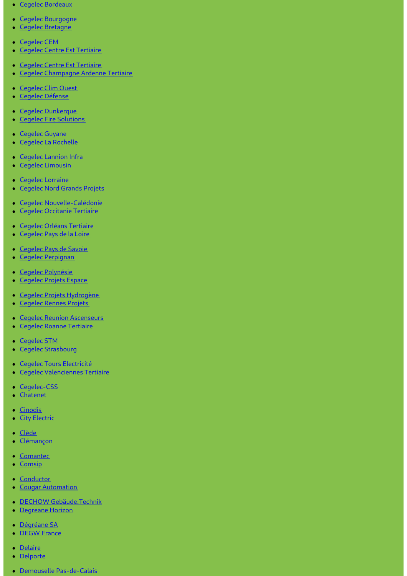- Cegelec [Bordeaux](https://www.cegelec-bordeaux.fr)
- Cegelec [Bourgogne](https://www.cegelec-bourgogne.com)
- Cegelec [Bretagne](http://www.cegelec-bretagne.fr/fr/)  $\bullet$
- [Cegelec](https://www.cegelec-cem.fr/) CEM
- Cegelec Centre Est [Tertiaire](http://www.cegelec-lyon.com/)
- Cegelec Centre Est [Tertiaire](https://www.cegelec-centre-est-tertiaire.fr/)
- Cegelec [Champagne](https://www.cegelec-champagne-ardenne-tertiaire.com) Ardenne Tertiaire  $\bullet$
- [Cegelec](http://www.cegelec-clim-ouest.fr/fr/) Clim Ouest
- Cegelec [Défense](http://www.cegelec-defense.com)
- Cegelec [Dunkerque](https://www.cegelec-dunkerque.com)
- Cegelec Fire [Solutions](http://www.cegelec.nl)  $\bullet$
- [Cegelec](https://www.cegelec-guyane.fr) Guyane
- Cegelec La [Rochelle](https://www.cegelec-la-rochelle.fr)
- Cegelec [Lannion](https://www.cegelec-lannion-infras.fr/) Infra
- Cegelec [Limousin](http://www.cegelec-limousin.fr/)  $\bullet$
- Cegelec [Lorraine](https://www.cegelec-lorraine.com)
- [Cegelec](http://www.cegelec-nord-grands-projets.com) Nord Grands Projets  $\bullet$
- Cegelec [Nouvelle-Calédonie](https://www.cegelec.nc)
- Cegelec [Occitanie](https://www.cegelec-occitanie-tertiaire.fr/) Tertiaire  $\bullet$
- **Cegelec Orléans [Tertiaire](https://cegelec-orleans-tertiaire.fr)**
- [Cegelec](http://www.cegelec-pays-de-la-loire.fr) Pays de la Loire
- [Cegelec](https://www.cegelec-pays-de-savoie.fr/) Pays de Savoie
- Cegelec [Perpignan](https://www.cegelec-perpignan.com)  $\bullet$
- Cegelec [Polynésie](http://www.cegelec-polynesie.com)
- [Cegelec](http://www.cegelec-projets-espace.com/) Projets Espace  $\bullet$
- Cegelec Projets [Hydrogène](https://www.cegelec-projets-hydrogene.fr)
- [Cegelec](https://www.cegelec-rennes-projets.fr/) Rennes Projets  $\bullet$
- Cegelec Reunion [Ascenseurs](https://www.cegelec-reunion-ascenseurs.com)
- Cegelec Roanne [Tertiaire](https://www.cegelec-roanne-tertiaire.fr/)  $\bullet$
- [Cegelec](https://www.cegelec-stm.fr/) STM
- Cegelec [Strasbourg](http://www.cegelec-strasbourg.fr/)  $\bullet$
- Cegelec Tours [Electricité](https://www.cegelec-tours-electricite.fr/)
- Cegelec [Valenciennes](http://www.cegelec-valenciennes-tertiaire.com/) Tertiaire  $\bullet$
- [Cegelec-CSS](https://www.cegelec-css.com/)
- **[Chatenet](https://www.chatenet-sas.fr)**
- [Cinodis](https://www.cinodis.fr/)
- City [Electric](https://www.city-electric.lu)
- [Clède](https://www.clede.fr)
- [Clémançon](https://www.clemancon.fr)
- [Comantec](https://www.comantec.be/)
- **[Comsip](http://www.comsip.fr/en/)**  $\bullet$
- [Conductor](https://www.conductor.as/)
- **Cougar [Automation](https://www.cougar-automation.com/)**
- DECHOW [Gebäude.Technik](https://www.dechow-dl-gmbh.de/)
- [Degreane](http://www.degreane-horizon.fr) Horizon
- [Dégréane](https://www.degreane.fr/) SA
- **[DEGW](https://www.degwfrance.com/) France**
- · [Delaire](https://www.sas-delaire.fr/)
- [Delporte](https://www.delporte.fr/)
- Demouselle [Pas-de-Calais](https://www.demouselle-pas-de-calais.fr)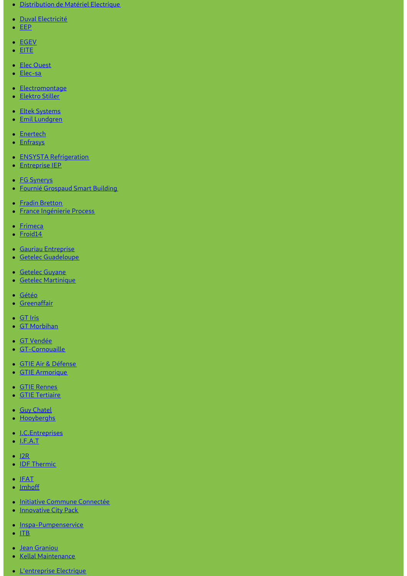- [Distribution](https://www.dme-energies.com) de Matériel Electrique
- · Duval [Electricité](https://duval-electricite.fr/)
- [EEP](https://www.eep.fr)
- [EGEV](https://www.egev.fr/)
- $\cdot$  [EITE](https://www.eite-entreprises.fr/)
- Elec [Ouest](http://www.elec-ouest.fr)
- [Elec-sa](https://www.elec-sa.fr/)
- [Electromontage](https://www.electromontage.fr/)
- [Elektro](https://www.elektro-stiller.de) Stiller
- **Eltek [Systems](https://www.eltek-systems.com/)**
- Emil [Lundgren](https://www.emillundgren.se/)
- [Enertech](https://www.enertech-eut.de/)
- [Enfrasys](https://www.enfrasys.fr/)
- **ENSYSTA [Refrigeration](http://www.ensysta.be/nl/)**
- [Entreprise](http://www.i-e-p.fr) IEP
- **FG [Synerys](https://www.fgsynerys.fr)**
- Fournié [Grospaud](https://www.fgtlse.fr) Smart Building
- Fradin [Bretton](http://www.fradin-bretton.fr/)
- **France [Ingénierie](https://www.france-ingenierie-process.com/) Process**
- [Frimeca](https://www.frimeca.com/)
- [Froid14](http://www.froid14.com/)
- **Gauriau [Entreprise](http://www.gauriau-entreprise.fr/)**
- **Getelec [Guadeloupe](http://www.getelec-guadeloupe.fr/)**
- **[Getelec](https://www.getelec-guyane.fr/) Guyane**
- Getelec [Martinique](https://www.getelec-martinique.fr)
- [Gétéo](https://www.geteo.fr/)
- **[Greenaffair](https://www.greenaffair.com)**
- [GT](http://www.gt-iris.fr/) Iris
- GT [Morbihan](https://www.gt-morbihan.com)
- GT [Vendée](http://www.gt-vendee.fr/)
- [GT-Cornouaille](https://www.gt-cornouaille.fr/)
- GTIE Air & [Défense](https://www.gtie-airetdefense.fr)
- GTIE [Armorique](https://www.gtie-armorique.com)
- GTIE [Rennes](http://www.gtie-rennes.com/)
- GTIE [Tertiaire](https://www.gtie-tertiaire.com/)
- Guy [Chatel](http://guy-chatel.fr/)
- [Hooyberghs](https://www.hooyberghs.be/)
- [I.C.Entreprises](http://www.ic-entreprises.com/)
- $\bullet$  [I.F.A.T](https://www.ifat.fr)
- $\cdot$  [I2R](http://www.i2r-ingenierie.com/)
- **IDF [Thermic](http://www.idf-thermic.com/)**
- $\cdot$  [IFAT](https://www.ifat.fr/)
- [Imhoff](https://www.imhoff.fr)
- Initiative Commune [Connectée](https://www.initiativecommuneconnectee.fr)
- [Innovative](https://www.icpack.fr) City Pack
- [Inspa-Pumpenservice](https://www.inspa-pumpenservice.de/)
- $\cdot$  [ITB](https:)
- Jean [Graniou](https://www.jeangraniou.fr/)
- Kellal [Maintenance](https://www.kellal-maintenance.fr/)
- **[L'entreprise](http://www.lentreprise-electrique.fr/) Electrique**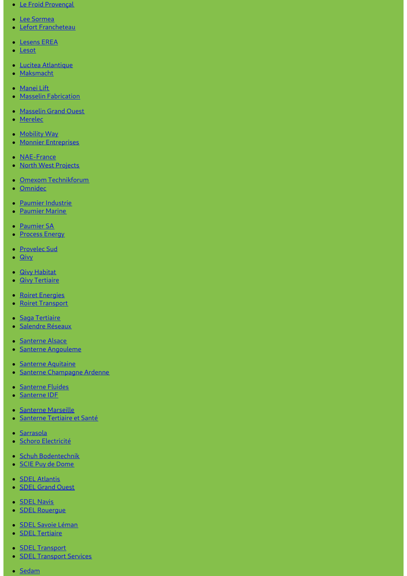- Le Froid [Provençal](https://www.lefroidprovencal.fr)
- Lee [Sormea](https://www.lee-sormea.com)
- Lefort [Francheteau](https://www.lefortfrancheteau.com/)
- [Lesens](https://www.lesens-erea.fr/) EREA
- [Lesot](https://www.lesot.fr)
- Lucitea [Atlantique](http://www.lucitea-atlantique.fr)
- [Maksmacht](https://www.maksmacht.de/)
- [Manei](https://www.manei-lift.fr) Lift
- Masselin [Fabrication](http://masselin-fabrication.fr/)
- [Masselin](http://www.masselin-grand-ouest.fr/) Grand Ouest
- [Merelec](https://www.merelec.fr)
- [Mobility](https://www.mobility-way.com) Way
- Monnier [Entreprises](http://www.monnier-energies.com/)
- [NAE-France](https://www.nae-france.com/)
- North West [Projects](https://www.northwestprojects.co.uk/)
- Omexom [Technikforum](https://www.omexom-technikforum.de)
- [Omnidec](https://www.omnidec.com/)
- Paumier [Industrie](https://www.paumier-industrie.fr)
- [Paumier](https://www.paumier-marine.fr) Marine
- [Paumier](https://www.paumier-sa.fr) SA
- **[Process](http://www.process-energy.fr) Energy**
- [Provelec](https://www.provelec-sud.fr) Sud
- [Qivy](http://www.qivy.fr/fr/)
- **Qivy [Habitat](https://www.qivy-habitat.fr)**
- **Qivy [Tertiaire](https://www.qivy-tertiaire.fr)**
- Roiret [Energies](https://www.roiret-energies.com/)
- Roiret [Transport](http://www.roiret-transport.fr/)  $\bullet$
- · Saga [Tertiaire](http://www.saga-tertiaire.fr/)
- [Salendre](https://www.salendre.com/) Réseaux  $\bullet$
- **[Santerne](https://www.santerne-alsace.fr) Alsace**
- Santerne [Angouleme](http://www.santerne-angouleme.fr/)  $\bullet$
- Santerne [Aquitaine](https://www.santerne-aquitaine.fr/)
- Santerne [Champagne](https://www.santerne-champagne-ardenne.fr) Ardenne  $\bullet$
- **[Santerne](https://www.santerne-fluides.fr) Fluides**
- [Santerne](https://www.santerne-idf.fr) IDF  $\bullet$
- [Santerne](https://www.santerne-marseille.com/) Marseille
- [Santerne](https://www.santerne-tertiaire-sante.fr) Tertiaire et Santé  $\bullet$
- · [Sarrasola](https://www.sarrasola.com/)
- Schoro [Electricité](http://www.schoro.fr/site/presentation.htm)  $\bullet$
- Schuh [Bodentechnik](https://www.schuh-bodentechnik.de)
- SCIE Puy de [Dome](http://www.scie-pdd.com/)
- **SDEL [Atlantis](https://www.sdel-atlantis.fr/)**
- **SDEL [Grand](http://www.sdel-grand-ouest.fr/) Ouest**  $\bullet$
- **[SDEL](https://www.sdel-navis.fr) Navis**
- SDEL [Rouergue](https://www.sdel-rouergue.fr/)
- · SDEL Savoie [Léman](https://www.sdel-savoie-leman.fr/)
- **SDEL [Tertiaire](https://www.sdel-tertiaire.fr)**
- **SDEL [Transport](https://www.sdel-transport.fr)**
- **SDEL [Transport](https://www.sdel-transport-services.fr/) Services**
- [Sedam](https://www.sedam-champagne.com)